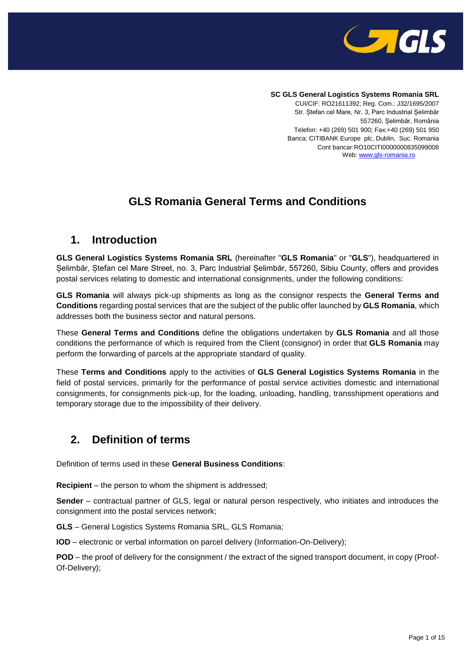

### **SC GLS General Logistics Systems Romania SRL**

CUI/CIF: RO21611392; Reg. Com.: J32/1695/2007 Str. Ștefan cel Mare, Nr. 3, Parc Industrial Șelimbăr 557260, Șelimbăr, România Telefon: +40 (269) 501 900; Fax:+40 (269) 501 950 Banca: CITIBANK Europe plc, Dublin, Suc. Romania Cont bancar:RO10CITI0000000835099008 Web: [www.gls-romania.ro](http://www.gls-romania.ro/)

## **GLS Romania General Terms and Conditions**

### **1. Introduction**

**GLS General Logistics Systems Romania SRL** (hereinafter "**GLS Romania**" or "**GLS**"), headquartered in Șelimbăr, Ștefan cel Mare Street, no. 3, Parc Industrial Șelimbăr, 557260, Sibiu County, offers and provides postal services relating to domestic and international consignments, under the following conditions:

**GLS Romania** will always pick-up shipments as long as the consignor respects the **General Terms and Conditions** regarding postal services that are the subject of the public offer launched by **GLS Romania**, which addresses both the business sector and natural persons.

These **General Terms and Conditions** define the obligations undertaken by **GLS Romania** and all those conditions the performance of which is required from the Client (consignor) in order that **GLS Romania** may perform the forwarding of parcels at the appropriate standard of quality.

These **Terms and Conditions** apply to the activities of **GLS General Logistics Systems Romania** in the field of postal services, primarily for the performance of postal service activities domestic and international consignments, for consignments pick-up, for the loading, unloading, handling, transshipment operations and temporary storage due to the impossibility of their delivery.

### **2. Definition of terms**

Definition of terms used in these **General Business Conditions**:

**Recipient** – the person to whom the shipment is addressed;

**Sender** – contractual partner of GLS, legal or natural person respectively, who initiates and introduces the consignment into the postal services network;

**GLS** – General Logistics Systems Romania SRL, GLS Romania;

**IOD** – electronic or verbal information on parcel delivery (Information-On-Delivery);

**POD** – the proof of delivery for the consignment / the extract of the signed transport document, in copy (Proof-Of-Delivery);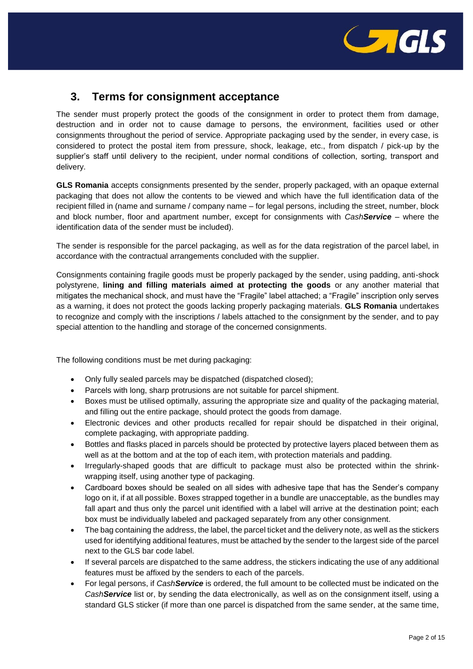

## **3. Terms for consignment acceptance**

The sender must properly protect the goods of the consignment in order to protect them from damage, destruction and in order not to cause damage to persons, the environment, facilities used or other consignments throughout the period of service. Appropriate packaging used by the sender, in every case, is considered to protect the postal item from pressure, shock, leakage, etc., from dispatch / pick-up by the supplier's staff until delivery to the recipient, under normal conditions of collection, sorting, transport and delivery.

**GLS Romania** accepts consignments presented by the sender, properly packaged, with an opaque external packaging that does not allow the contents to be viewed and which have the full identification data of the recipient filled in (name and surname / company name – for legal persons, including the street, number, block and block number, floor and apartment number, except for consignments with *CashService* – where the identification data of the sender must be included).

The sender is responsible for the parcel packaging, as well as for the data registration of the parcel label, in accordance with the contractual arrangements concluded with the supplier.

Consignments containing fragile goods must be properly packaged by the sender, using padding, anti-shock polystyrene, **lining and filling materials aimed at protecting the goods** or any another material that mitigates the mechanical shock, and must have the "Fragile" label attached; a "Fragile" inscription only serves as a warning, it does not protect the goods lacking properly packaging materials. **GLS Romania** undertakes to recognize and comply with the inscriptions / labels attached to the consignment by the sender, and to pay special attention to the handling and storage of the concerned consignments.

The following conditions must be met during packaging:

- Only fully sealed parcels may be dispatched (dispatched closed);
- Parcels with long, sharp protrusions are not suitable for parcel shipment.
- Boxes must be utilised optimally, assuring the appropriate size and quality of the packaging material, and filling out the entire package, should protect the goods from damage.
- Electronic devices and other products recalled for repair should be dispatched in their original, complete packaging, with appropriate padding.
- Bottles and flasks placed in parcels should be protected by protective layers placed between them as well as at the bottom and at the top of each item, with protection materials and padding.
- Irregularly-shaped goods that are difficult to package must also be protected within the shrinkwrapping itself, using another type of packaging.
- Cardboard boxes should be sealed on all sides with adhesive tape that has the Sender's company logo on it, if at all possible. Boxes strapped together in a bundle are unacceptable, as the bundles may fall apart and thus only the parcel unit identified with a label will arrive at the destination point; each box must be individually labeled and packaged separately from any other consignment.
- The bag containing the address, the label, the parcel ticket and the delivery note, as well as the stickers used for identifying additional features, must be attached by the sender to the largest side of the parcel next to the GLS bar code label.
- If several parcels are dispatched to the same address, the stickers indicating the use of any additional features must be affixed by the senders to each of the parcels.
- For legal persons, if *CashService* is ordered, the full amount to be collected must be indicated on the *CashService* list or, by sending the data electronically, as well as on the consignment itself, using a standard GLS sticker (if more than one parcel is dispatched from the same sender, at the same time,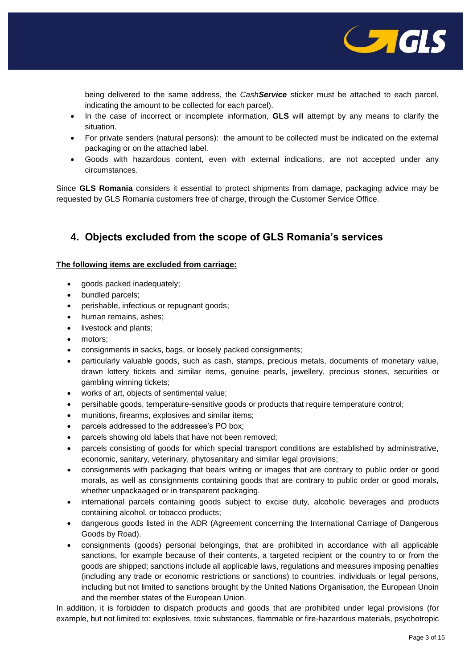

being delivered to the same address, the *CashService* sticker must be attached to each parcel, indicating the amount to be collected for each parcel).

- In the case of incorrect or incomplete information, **GLS** will attempt by any means to clarify the situation.
- For private senders (natural persons): the amount to be collected must be indicated on the external packaging or on the attached label.
- Goods with hazardous content, even with external indications, are not accepted under any circumstances.

Since **GLS Romania** considers it essential to protect shipments from damage, packaging advice may be requested by GLS Romania customers free of charge, through the Customer Service Office.

### **4. Objects excluded from the scope of GLS Romania's services**

#### **The following items are excluded from carriage:**

- goods packed inadequately;
- bundled parcels;
- perishable, infectious or repugnant goods;
- human remains, ashes;
- livestock and plants;
- motors;
- consignments in sacks, bags, or loosely packed consignments;
- particularly valuable goods, such as cash, stamps, precious metals, documents of monetary value, drawn lottery tickets and similar items, genuine pearls, jewellery, precious stones, securities or gambling winning tickets;
- works of art, objects of sentimental value;
- persihable goods, temperature-sensitive goods or products that require temperature control;
- munitions, firearms, explosives and similar items;
- parcels addressed to the addressee's PO box;
- parcels showing old labels that have not been removed;
- parcels consisting of goods for which special transport conditions are established by administrative, economic, sanitary, veterinary, phytosanitary and similar legal provisions;
- consignments with packaging that bears writing or images that are contrary to public order or good morals, as well as consignments containing goods that are contrary to public order or good morals, whether unpackaaged or in transparent packaging.
- international parcels containing goods subject to excise duty, alcoholic beverages and products containing alcohol, or tobacco products;
- dangerous goods listed in the ADR (Agreement concerning the International Carriage of Dangerous Goods by Road).
- consignments (goods) personal belongings, that are prohibited in accordance with all applicable sanctions, for example because of their contents, a targeted recipient or the country to or from the goods are shipped; sanctions include all applicable laws, regulations and measures imposing penalties (including any trade or economic restrictions or sanctions) to countries, individuals or legal persons, including but not limited to sanctions brought by the United Nations Organisation, the European Unoin and the member states of the European Union.

In addition, it is forbidden to dispatch products and goods that are prohibited under legal provisions (for example, but not limited to: explosives, toxic substances, flammable or fire-hazardous materials, psychotropic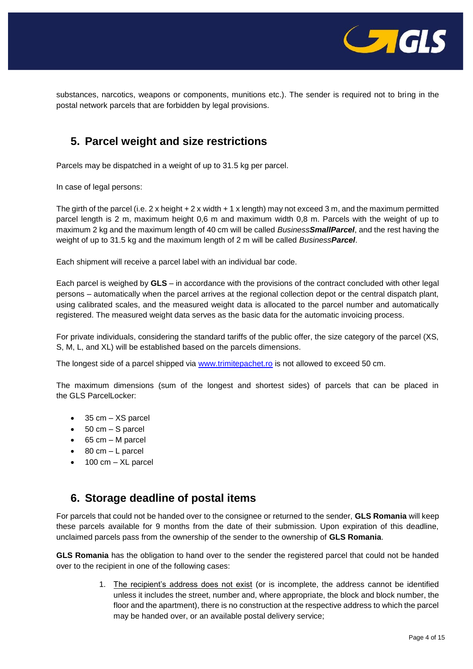

substances, narcotics, weapons or components, munitions etc.). The sender is required not to bring in the postal network parcels that are forbidden by legal provisions.

## **5. Parcel weight and size restrictions**

Parcels may be dispatched in a weight of up to 31.5 kg per parcel.

In case of legal persons:

The girth of the parcel (i.e.  $2 \times$  height +  $2 \times$  width +  $1 \times$  length) may not exceed 3 m, and the maximum permitted parcel length is 2 m, maximum height 0,6 m and maximum width 0,8 m. Parcels with the weight of up to maximum 2 kg and the maximum length of 40 cm will be called *BusinessSmallParcel*, and the rest having the weight of up to 31.5 kg and the maximum length of 2 m will be called *BusinessParcel*.

Each shipment will receive a parcel label with an individual bar code.

Each parcel is weighed by **GLS** – in accordance with the provisions of the contract concluded with other legal persons – automatically when the parcel arrives at the regional collection depot or the central dispatch plant, using calibrated scales, and the measured weight data is allocated to the parcel number and automatically registered. The measured weight data serves as the basic data for the automatic invoicing process.

For private individuals, considering the standard tariffs of the public offer, the size category of the parcel (XS, S, M, L, and XL) will be established based on the parcels dimensions.

The longest side of a parcel shipped via [www.trimitepachet.ro](http://www.trimitepachet.ro/) is not allowed to exceed 50 cm.

The maximum dimensions (sum of the longest and shortest sides) of parcels that can be placed in the GLS ParcelLocker:

- $\bullet$  35 cm  $-$  XS parcel
- $\bullet$  50 cm S parcel
- $-65$  cm M parcel
- $\bullet$  80 cm L parcel
- $\bullet$  100 cm XL parcel

### **6. Storage deadline of postal items**

For parcels that could not be handed over to the consignee or returned to the sender, **GLS Romania** will keep these parcels available for 9 months from the date of their submission. Upon expiration of this deadline, unclaimed parcels pass from the ownership of the sender to the ownership of **GLS Romania**.

**GLS Romania** has the obligation to hand over to the sender the registered parcel that could not be handed over to the recipient in one of the following cases:

> 1. The recipient's address does not exist (or is incomplete, the address cannot be identified unless it includes the street, number and, where appropriate, the block and block number, the floor and the apartment), there is no construction at the respective address to which the parcel may be handed over, or an available postal delivery service;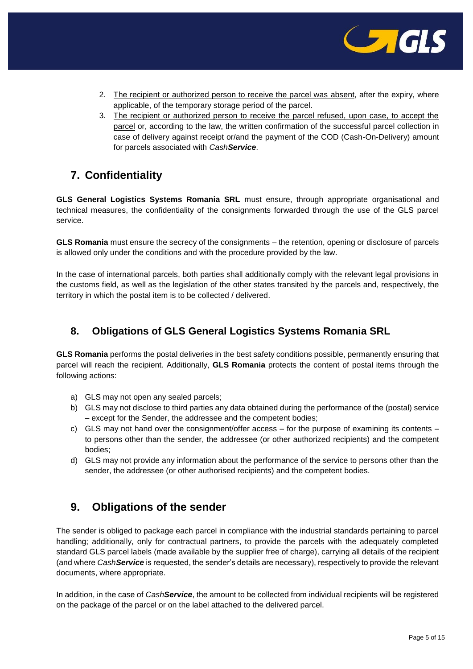

- 2. The recipient or authorized person to receive the parcel was absent, after the expiry, where applicable, of the temporary storage period of the parcel.
- 3. The recipient or authorized person to receive the parcel refused, upon case, to accept the parcel or, according to the law, the written confirmation of the successful parcel collection in case of delivery against receipt or/and the payment of the COD (Cash-On-Delivery) amount for parcels associated with *CashService*.

## **7. Confidentiality**

**GLS General Logistics Systems Romania SRL** must ensure, through appropriate organisational and technical measures, the confidentiality of the consignments forwarded through the use of the GLS parcel service.

**GLS Romania** must ensure the secrecy of the consignments – the retention, opening or disclosure of parcels is allowed only under the conditions and with the procedure provided by the law.

In the case of international parcels, both parties shall additionally comply with the relevant legal provisions in the customs field, as well as the legislation of the other states transited by the parcels and, respectively, the territory in which the postal item is to be collected / delivered.

### **8. Obligations of GLS General Logistics Systems Romania SRL**

**GLS Romania** performs the postal deliveries in the best safety conditions possible, permanently ensuring that parcel will reach the recipient. Additionally, **GLS Romania** protects the content of postal items through the following actions:

- a) GLS may not open any sealed parcels;
- b) GLS may not disclose to third parties any data obtained during the performance of the (postal) service – except for the Sender, the addressee and the competent bodies;
- c) GLS may not hand over the consignment/offer access for the purpose of examining its contents to persons other than the sender, the addressee (or other authorized recipients) and the competent bodies;
- d) GLS may not provide any information about the performance of the service to persons other than the sender, the addressee (or other authorised recipients) and the competent bodies.

## **9. Obligations of the sender**

The sender is obliged to package each parcel in compliance with the industrial standards pertaining to parcel handling; additionally, only for contractual partners, to provide the parcels with the adequately completed standard GLS parcel labels (made available by the supplier free of charge), carrying all details of the recipient (and where *CashService* is requested, the sender's details are necessary), respectively to provide the relevant documents, where appropriate.

In addition, in the case of *CashService*, the amount to be collected from individual recipients will be registered on the package of the parcel or on the label attached to the delivered parcel.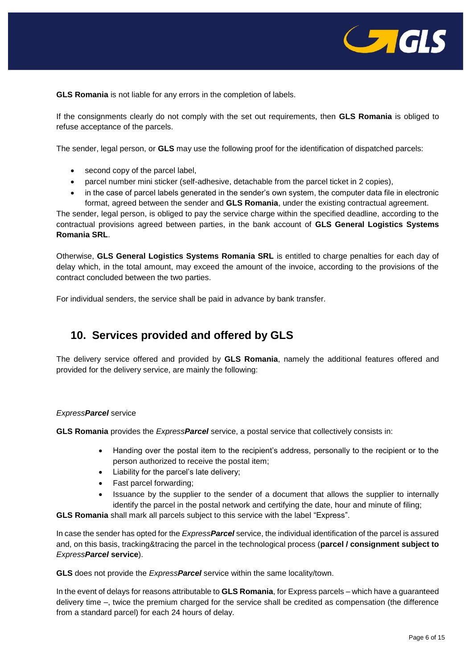

**GLS Romania** is not liable for any errors in the completion of labels.

If the consignments clearly do not comply with the set out requirements, then **GLS Romania** is obliged to refuse acceptance of the parcels.

The sender, legal person, or **GLS** may use the following proof for the identification of dispatched parcels:

- second copy of the parcel label,
- parcel number mini sticker (self-adhesive, detachable from the parcel ticket in 2 copies),
- in the case of parcel labels generated in the sender's own system, the computer data file in electronic format, agreed between the sender and **GLS Romania**, under the existing contractual agreement.

The sender, legal person, is obliged to pay the service charge within the specified deadline, according to the contractual provisions agreed between parties, in the bank account of **GLS General Logistics Systems Romania SRL**.

Otherwise, **GLS General Logistics Systems Romania SRL** is entitled to charge penalties for each day of delay which, in the total amount, may exceed the amount of the invoice, according to the provisions of the contract concluded between the two parties.

For individual senders, the service shall be paid in advance by bank transfer.

### **10. Services provided and offered by GLS**

The delivery service offered and provided by **GLS Romania**, namely the additional features offered and provided for the delivery service, are mainly the following:

#### *ExpressParcel* service

**GLS Romania** provides the *ExpressParcel* service, a postal service that collectively consists in:

- Handing over the postal item to the recipient's address, personally to the recipient or to the person authorized to receive the postal item;
- Liability for the parcel's late delivery;
- Fast parcel forwarding;
- Issuance by the supplier to the sender of a document that allows the supplier to internally identify the parcel in the postal network and certifying the date, hour and minute of filing;

**GLS Romania** shall mark all parcels subject to this service with the label "Express".

In case the sender has opted for the *ExpressParcel* service, the individual identification of the parcel is assured and, on this basis, tracking&tracing the parcel in the technological process (**parcel / consignment subject to**  *ExpressParcel* **service**).

**GLS** does not provide the *ExpressParcel* service within the same locality/town.

In the event of delays for reasons attributable to **GLS Romania**, for Express parcels – which have a guaranteed delivery time –, twice the premium charged for the service shall be credited as compensation (the difference from a standard parcel) for each 24 hours of delay.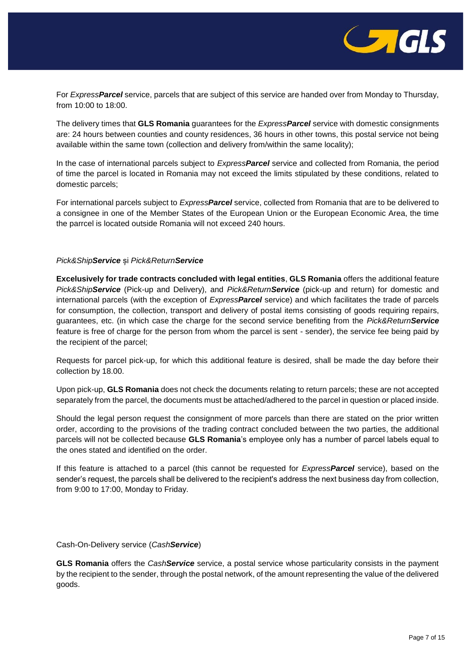

For *ExpressParcel* service, parcels that are subject of this service are handed over from Monday to Thursday, from 10:00 to 18:00.

The delivery times that **GLS Romania** guarantees for the *ExpressParcel* service with domestic consignments are: 24 hours between counties and county residences, 36 hours in other towns, this postal service not being available within the same town (collection and delivery from/within the same locality);

In the case of international parcels subject to *ExpressParcel* service and collected from Romania, the period of time the parcel is located in Romania may not exceed the limits stipulated by these conditions, related to domestic parcels;

For international parcels subject to *ExpressParcel* service, collected from Romania that are to be delivered to a consignee in one of the Member States of the European Union or the European Economic Area, the time the parrcel is located outside Romania will not exceed 240 hours.

#### *Pick&ShipService* și *Pick&ReturnService*

**Excelusively for trade contracts concluded with legal entities**, **GLS Romania** offers the additional feature *Pick&ShipService* (Pick-up and Delivery), and *Pick&ReturnService* (pick-up and return) for domestic and international parcels (with the exception of *ExpressParcel* service) and which facilitates the trade of parcels for consumption, the collection, transport and delivery of postal items consisting of goods requiring repairs, guarantees, etc. (in which case the charge for the second service benefiting from the *Pick&ReturnService* feature is free of charge for the person from whom the parcel is sent - sender), the service fee being paid by the recipient of the parcel;

Requests for parcel pick-up, for which this additional feature is desired, shall be made the day before their collection by 18.00.

Upon pick-up, **GLS Romania** does not check the documents relating to return parcels; these are not accepted separately from the parcel, the documents must be attached/adhered to the parcel in question or placed inside.

Should the legal person request the consignment of more parcels than there are stated on the prior written order, according to the provisions of the trading contract concluded between the two parties, the additional parcels will not be collected because **GLS Romania**'s employee only has a number of parcel labels equal to the ones stated and identified on the order.

If this feature is attached to a parcel (this cannot be requested for *ExpressParcel* service), based on the sender's request, the parcels shall be delivered to the recipient's address the next business day from collection, from 9:00 to 17:00, Monday to Friday.

Cash-On-Delivery service (*CashService*)

**GLS Romania** offers the *CashService* service, a postal service whose particularity consists in the payment by the recipient to the sender, through the postal network, of the amount representing the value of the delivered goods.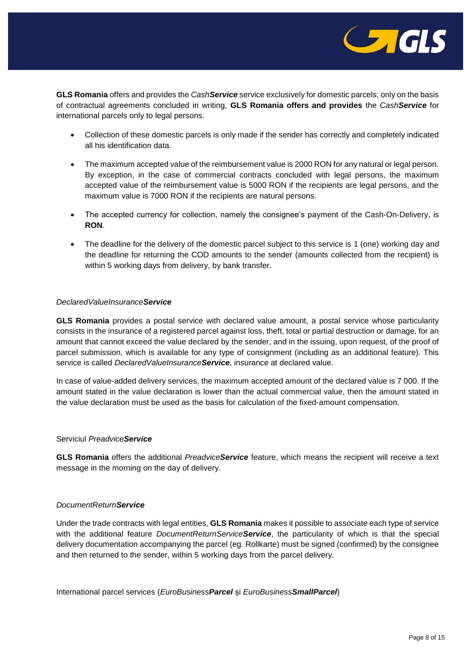

**GLS Romania** offers and provides the *CashService* service exclusively for domestic parcels; only on the basis of contractual agreements concluded in writing, **GLS Romania offers and provides** the *CashService* for international parcels only to legal persons.

- Collection of these domestic parcels is only made if the sender has correctly and completely indicated all his identification data.
- The maximum accepted value of the reimbursement value is 2000 RON for any natural or legal person. By exception, in the case of commercial contracts concluded with legal persons, the maximum accepted value of the reimbursement value is 5000 RON if the recipients are legal persons, and the maximum value is 7000 RON if the recipients are natural persons.
- The accepted currency for collection, namely the consignee's payment of the Cash-On-Delivery, is **RON**.
- The deadline for the delivery of the domestic parcel subject to this service is 1 (one) working day and the deadline for returning the COD amounts to the sender (amounts collected from the recipient) is within 5 working days from delivery, by bank transfer.

#### *DeclaredValueInsuranceService*

**GLS Romania** provides a postal service with declared value amount, a postal service whose particularity consists in the insurance of a registered parcel against loss, theft, total or partial destruction or damage, for an amount that cannot exceed the value declared by the sender, and in the issuing, upon request, of the proof of parcel submission, which is available for any type of consignment (including as an additional feature). This service is called *DeclaredValueInsuranceService*, insurance at declared value.

In case of value-added delivery services, the maximum accepted amount of the declared value is 7 000. If the amount stated in the value declaration is lower than the actual commercial value, then the amount stated in the value declaration must be used as the basis for calculation of the fixed-amount compensation.

#### Serviciul *PreadviceService*

**GLS Romania** offers the additional *PreadviceService* feature, which means the recipient will receive a text message in the morning on the day of delivery.

#### *DocumentReturnService*

Under the trade contracts with legal entities, **GLS Romania** makes it possible to associate each type of service with the additional feature *DocumentReturnServiceService*, the particularity of which is that the special delivery documentation accompanying the parcel (eg. Rollkarte) must be signed (confirmed) by the consignee and then returned to the sender, within 5 working days from the parcel delivery.

International parcel services (*EuroBusinessParcel* și *EuroBusinessSmallParcel*)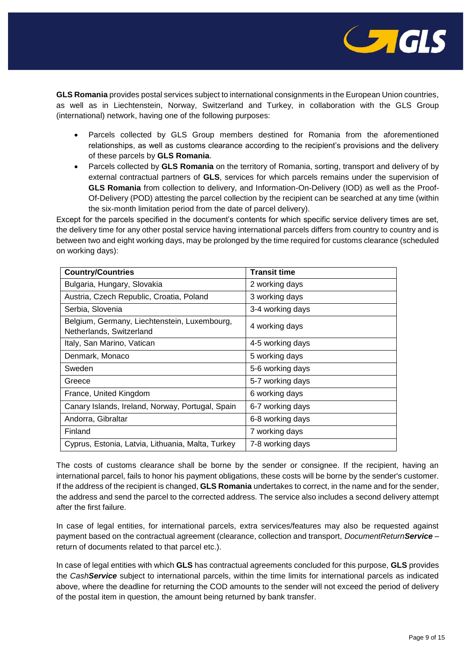

**GLS Romania** provides postal services subject to international consignments in the European Union countries, as well as in Liechtenstein, Norway, Switzerland and Turkey, in collaboration with the GLS Group (international) network, having one of the following purposes:

- Parcels collected by GLS Group members destined for Romania from the aforementioned relationships, as well as customs clearance according to the recipient's provisions and the delivery of these parcels by **GLS Romania**.
- Parcels collected by **GLS Romania** on the territory of Romania, sorting, transport and delivery of by external contractual partners of **GLS**, services for which parcels remains under the supervision of **GLS Romania** from collection to delivery, and Information-On-Delivery (IOD) as well as the Proof-Of-Delivery (POD) attesting the parcel collection by the recipient can be searched at any time (within the six-month limitation period from the date of parcel delivery).

Except for the parcels specified in the document's contents for which specific service delivery times are set, the delivery time for any other postal service having international parcels differs from country to country and is between two and eight working days, may be prolonged by the time required for customs clearance (scheduled on working days):

| <b>Country/Countries</b>                                                 | <b>Transit time</b> |
|--------------------------------------------------------------------------|---------------------|
| Bulgaria, Hungary, Slovakia                                              | 2 working days      |
| Austria, Czech Republic, Croatia, Poland                                 | 3 working days      |
| Serbia, Slovenia                                                         | 3-4 working days    |
| Belgium, Germany, Liechtenstein, Luxembourg,<br>Netherlands, Switzerland | 4 working days      |
| Italy, San Marino, Vatican                                               | 4-5 working days    |
| Denmark, Monaco                                                          | 5 working days      |
| Sweden                                                                   | 5-6 working days    |
| Greece                                                                   | 5-7 working days    |
| France, United Kingdom                                                   | 6 working days      |
| Canary Islands, Ireland, Norway, Portugal, Spain                         | 6-7 working days    |
| Andorra, Gibraltar                                                       | 6-8 working days    |
| Finland                                                                  | 7 working days      |
| Cyprus, Estonia, Latvia, Lithuania, Malta, Turkey                        | 7-8 working days    |

The costs of customs clearance shall be borne by the sender or consignee. If the recipient, having an international parcel, fails to honor his payment obligations, these costs will be borne by the sender's customer. If the address of the recipient is changed, **GLS Romania** undertakes to correct, in the name and for the sender, the address and send the parcel to the corrected address. The service also includes a second delivery attempt after the first failure.

In case of legal entities, for international parcels, extra services/features may also be requested against payment based on the contractual agreement (clearance, collection and transport, *DocumentReturnService* – return of documents related to that parcel etc.).

In case of legal entities with which **GLS** has contractual agreements concluded for this purpose, **GLS** provides the *CashService* subject to international parcels, within the time limits for international parcels as indicated above, where the deadline for returning the COD amounts to the sender will not exceed the period of delivery of the postal item in question, the amount being returned by bank transfer.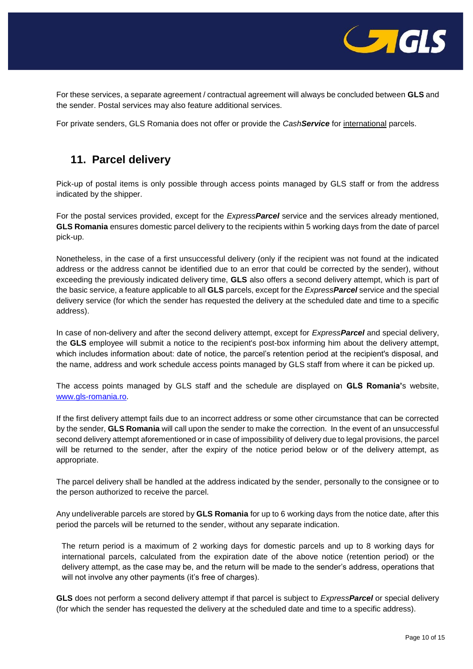

For these services, a separate agreement / contractual agreement will always be concluded between **GLS** and the sender. Postal services may also feature additional services.

For private senders, GLS Romania does not offer or provide the *CashService* for international parcels.

## **11. Parcel delivery**

Pick-up of postal items is only possible through access points managed by GLS staff or from the address indicated by the shipper.

For the postal services provided, except for the *ExpressParcel* service and the services already mentioned, **GLS Romania** ensures domestic parcel delivery to the recipients within 5 working days from the date of parcel pick-up.

Nonetheless, in the case of a first unsuccessful delivery (only if the recipient was not found at the indicated address or the address cannot be identified due to an error that could be corrected by the sender), without exceeding the previously indicated delivery time, **GLS** also offers a second delivery attempt, which is part of the basic service, a feature applicable to all **GLS** parcels, except for the *ExpressParcel* service and the special delivery service (for which the sender has requested the delivery at the scheduled date and time to a specific address).

In case of non-delivery and after the second delivery attempt, except for *ExpressParcel* and special delivery, the **GLS** employee will submit a notice to the recipient's post-box informing him about the delivery attempt, which includes information about: date of notice, the parcel's retention period at the recipient's disposal, and the name, address and work schedule access points managed by GLS staff from where it can be picked up.

The access points managed by GLS staff and the schedule are displayed on **GLS Romania'**s website, [www.gls-romania.ro.](http://www.gls-romania.ro/)

If the first delivery attempt fails due to an incorrect address or some other circumstance that can be corrected by the sender, **GLS Romania** will call upon the sender to make the correction. In the event of an unsuccessful second delivery attempt aforementioned or in case of impossibility of delivery due to legal provisions, the parcel will be returned to the sender, after the expiry of the notice period below or of the delivery attempt, as appropriate.

The parcel delivery shall be handled at the address indicated by the sender, personally to the consignee or to the person authorized to receive the parcel.

Any undeliverable parcels are stored by **GLS Romania** for up to 6 working days from the notice date, after this period the parcels will be returned to the sender, without any separate indication.

The return period is a maximum of 2 working days for domestic parcels and up to 8 working days for international parcels, calculated from the expiration date of the above notice (retention period) or the delivery attempt, as the case may be, and the return will be made to the sender's address, operations that will not involve any other payments (it's free of charges).

**GLS** does not perform a second delivery attempt if that parcel is subject to *ExpressParcel* or special delivery (for which the sender has requested the delivery at the scheduled date and time to a specific address).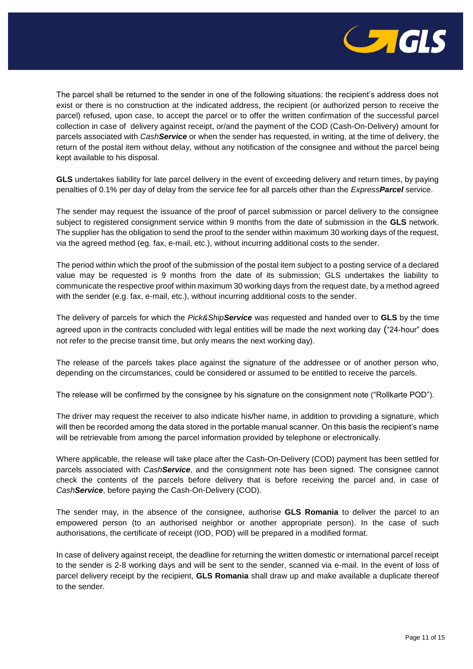

The parcel shall be returned to the sender in one of the following situations: the recipient's address does not exist or there is no construction at the indicated address, the recipient (or authorized person to receive the parcel) refused, upon case, to accept the parcel or to offer the written confirmation of the successful parcel collection in case of delivery against receipt, or/and the payment of the COD (Cash-On-Delivery) amount for parcels associated with *CashService* or when the sender has requested, in writing, at the time of delivery, the return of the postal item without delay, without any notification of the consignee and without the parcel being kept available to his disposal.

**GLS** undertakes liability for late parcel delivery in the event of exceeding delivery and return times, by paying penalties of 0.1% per day of delay from the service fee for all parcels other than the *ExpressParcel* service.

The sender may request the issuance of the proof of parcel submission or parcel delivery to the consignee subject to registered consignment service within 9 months from the date of submission in the **GLS** network. The supplier has the obligation to send the proof to the sender within maximum 30 working days of the request, via the agreed method (eg. fax, e-mail, etc.), without incurring additional costs to the sender.

The period within which the proof of the submission of the postal item subject to a posting service of a declared value may be requested is 9 months from the date of its submission; GLS undertakes the liability to communicate the respective proof within maximum 30 working days from the request date, by a method agreed with the sender (e.g. fax, e-mail, etc.), without incurring additional costs to the sender.

The delivery of parcels for which the *Pick&ShipService* was requested and handed over to **GLS** by the time agreed upon in the contracts concluded with legal entities will be made the next working day ("24-hour" does not refer to the precise transit time, but only means the next working day).

The release of the parcels takes place against the signature of the addressee or of another person who, depending on the circumstances, could be considered or assumed to be entitled to receive the parcels.

The release will be confirmed by the consignee by his signature on the consignment note ("Rollkarte POD").

The driver may request the receiver to also indicate his/her name, in addition to providing a signature, which will then be recorded among the data stored in the portable manual scanner. On this basis the recipient's name will be retrievable from among the parcel information provided by telephone or electronically.

Where applicable, the release will take place after the Cash-On-Delivery (COD) payment has been settled for parcels associated with *CashService*, and the consignment note has been signed. The consignee cannot check the contents of the parcels before delivery that is before receiving the parcel and, in case of *CashService*, before paying the Cash-On-Delivery (COD).

The sender may, in the absence of the consignee, authorise **GLS Romania** to deliver the parcel to an empowered person (to an authorised neighbor or another appropriate person). In the case of such authorisations, the certificate of receipt (IOD, POD) will be prepared in a modified format.

In case of delivery against receipt, the deadline for returning the written domestic or international parcel receipt to the sender is 2-8 working days and will be sent to the sender, scanned via e-mail. In the event of loss of parcel delivery receipt by the recipient, **GLS Romania** shall draw up and make available a duplicate thereof to the sender.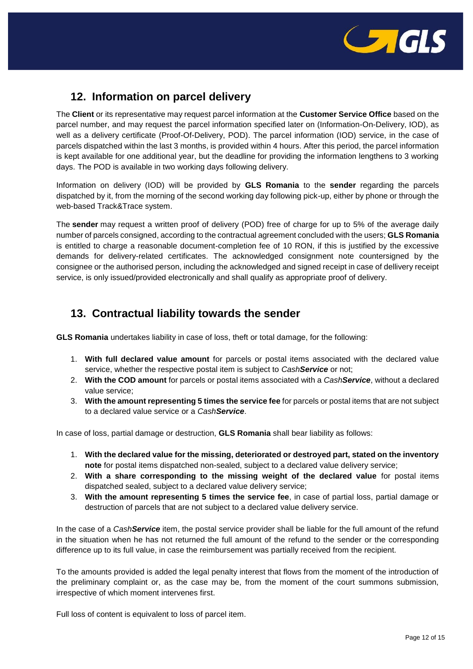

# **12. Information on parcel delivery**

The **Client** or its representative may request parcel information at the **Customer Service Office** based on the parcel number, and may request the parcel information specified later on (Information-On-Delivery, IOD), as well as a delivery certificate (Proof-Of-Delivery, POD). The parcel information (IOD) service, in the case of parcels dispatched within the last 3 months, is provided within 4 hours. After this period, the parcel information is kept available for one additional year, but the deadline for providing the information lengthens to 3 working days. The POD is available in two working days following delivery.

Information on delivery (IOD) will be provided by **GLS Romania** to the **sender** regarding the parcels dispatched by it, from the morning of the second working day following pick-up, either by phone or through the web-based Track&Trace system.

The **sender** may request a written proof of delivery (POD) free of charge for up to 5% of the average daily number of parcels consigned, according to the contractual agreement concluded with the users; **GLS Romania** is entitled to charge a reasonable document-completion fee of 10 RON, if this is justified by the excessive demands for delivery-related certificates. The acknowledged consignment note countersigned by the consignee or the authorised person, including the acknowledged and signed receipt in case of dellivery receipt service, is only issued/provided electronically and shall qualify as appropriate proof of delivery.

### **13. Contractual liability towards the sender**

**GLS Romania** undertakes liability in case of loss, theft or total damage, for the following:

- 1. **With full declared value amount** for parcels or postal items associated with the declared value service, whether the respective postal item is subject to *CashService* or not;
- 2. **With the COD amount** for parcels or postal items associated with a *CashService*, without a declared value service;
- 3. **With the amount representing 5 times the service fee** for parcels or postal items that are not subject to a declared value service or a *CashService*.

In case of loss, partial damage or destruction, **GLS Romania** shall bear liability as follows:

- 1. **With the declared value for the missing, deteriorated or destroyed part, stated on the inventory note** for postal items dispatched non-sealed, subject to a declared value delivery service;
- 2. **With a share corresponding to the missing weight of the declared value** for postal items dispatched sealed, subject to a declared value delivery service;
- 3. **With the amount representing 5 times the service fee**, in case of partial loss, partial damage or destruction of parcels that are not subject to a declared value delivery service.

In the case of a *CashService* item, the postal service provider shall be liable for the full amount of the refund in the situation when he has not returned the full amount of the refund to the sender or the corresponding difference up to its full value, in case the reimbursement was partially received from the recipient.

To the amounts provided is added the legal penalty interest that flows from the moment of the introduction of the preliminary complaint or, as the case may be, from the moment of the court summons submission, irrespective of which moment intervenes first.

Full loss of content is equivalent to loss of parcel item.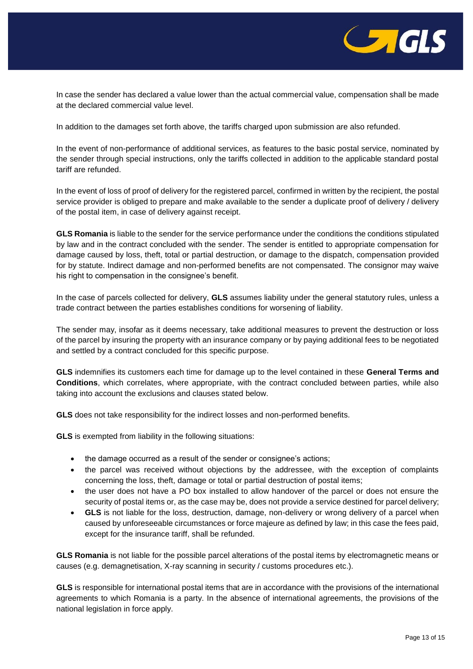

In case the sender has declared a value lower than the actual commercial value, compensation shall be made at the declared commercial value level.

In addition to the damages set forth above, the tariffs charged upon submission are also refunded.

In the event of non-performance of additional services, as features to the basic postal service, nominated by the sender through special instructions, only the tariffs collected in addition to the applicable standard postal tariff are refunded.

In the event of loss of proof of delivery for the registered parcel, confirmed in written by the recipient, the postal service provider is obliged to prepare and make available to the sender a duplicate proof of delivery / delivery of the postal item, in case of delivery against receipt.

**GLS Romania** is liable to the sender for the service performance under the conditions the conditions stipulated by law and in the contract concluded with the sender. The sender is entitled to appropriate compensation for damage caused by loss, theft, total or partial destruction, or damage to the dispatch, compensation provided for by statute. Indirect damage and non-performed benefits are not compensated. The consignor may waive his right to compensation in the consignee's benefit.

In the case of parcels collected for delivery, **GLS** assumes liability under the general statutory rules, unless a trade contract between the parties establishes conditions for worsening of liability.

The sender may, insofar as it deems necessary, take additional measures to prevent the destruction or loss of the parcel by insuring the property with an insurance company or by paying additional fees to be negotiated and settled by a contract concluded for this specific purpose.

**GLS** indemnifies its customers each time for damage up to the level contained in these **General Terms and Conditions**, which correlates, where appropriate, with the contract concluded between parties, while also taking into account the exclusions and clauses stated below.

**GLS** does not take responsibility for the indirect losses and non-performed benefits.

**GLS** is exempted from liability in the following situations:

- the damage occurred as a result of the sender or consignee's actions;
- the parcel was received without objections by the addressee, with the exception of complaints concerning the loss, theft, damage or total or partial destruction of postal items;
- the user does not have a PO box installed to allow handover of the parcel or does not ensure the security of postal items or, as the case may be, does not provide a service destined for parcel delivery;
- **GLS** is not liable for the loss, destruction, damage, non-delivery or wrong delivery of a parcel when caused by unforeseeable circumstances or force majeure as defined by law; in this case the fees paid, except for the insurance tariff, shall be refunded.

**GLS Romania** is not liable for the possible parcel alterations of the postal items by electromagnetic means or causes (e.g. demagnetisation, X-ray scanning in security / customs procedures etc.).

**GLS** is responsible for international postal items that are in accordance with the provisions of the international agreements to which Romania is a party. In the absence of international agreements, the provisions of the national legislation in force apply.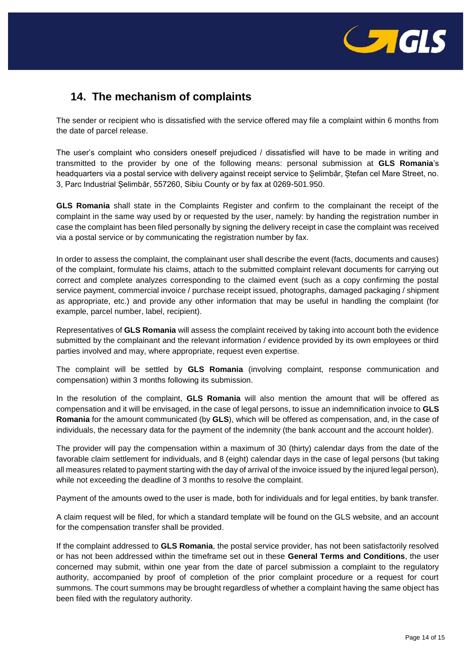

# **14. The mechanism of complaints**

The sender or recipient who is dissatisfied with the service offered may file a complaint within 6 months from the date of parcel release.

The user's complaint who considers oneself prejudiced / dissatisfied will have to be made in writing and transmitted to the provider by one of the following means: personal submission at **GLS Romania**'s headquarters via a postal service with delivery against receipt service to Șelimbăr, Ștefan cel Mare Street, no. 3, Parc Industrial Șelimbăr, 557260, Sibiu County or by fax at 0269-501.950.

**GLS Romania** shall state in the Complaints Register and confirm to the complainant the receipt of the complaint in the same way used by or requested by the user, namely: by handing the registration number in case the complaint has been filed personally by signing the delivery receipt in case the complaint was received via a postal service or by communicating the registration number by fax.

In order to assess the complaint, the complainant user shall describe the event (facts, documents and causes) of the complaint, formulate his claims, attach to the submitted complaint relevant documents for carrying out correct and complete analyzes corresponding to the claimed event (such as a copy confirming the postal service payment, commercial invoice / purchase receipt issued, photographs, damaged packaging / shipment as appropriate, etc.) and provide any other information that may be useful in handling the complaint (for example, parcel number, label, recipient).

Representatives of **GLS Romania** will assess the complaint received by taking into account both the evidence submitted by the complainant and the relevant information / evidence provided by its own employees or third parties involved and may, where appropriate, request even expertise.

The complaint will be settled by **GLS Romania** (involving complaint, response communication and compensation) within 3 months following its submission.

In the resolution of the complaint, **GLS Romania** will also mention the amount that will be offered as compensation and it will be envisaged, in the case of legal persons, to issue an indemnification invoice to **GLS Romania** for the amount communicated (by **GLS**), which will be offered as compensation, and, in the case of individuals, the necessary data for the payment of the indemnity (the bank account and the account holder).

The provider will pay the compensation within a maximum of 30 (thirty) calendar days from the date of the favorable claim settlement for individuals, and 8 (eight) calendar days in the case of legal persons (but taking all measures related to payment starting with the day of arrival of the invoice issued by the injured legal person), while not exceeding the deadline of 3 months to resolve the complaint.

Payment of the amounts owed to the user is made, both for individuals and for legal entities, by bank transfer.

A claim request will be filed, for which a standard template will be found on the GLS website, and an account for the compensation transfer shall be provided.

If the complaint addressed to **GLS Romania**, the postal service provider, has not been satisfactorily resolved or has not been addressed within the timeframe set out in these **General Terms and Conditions**, the user concerned may submit, within one year from the date of parcel submission a complaint to the regulatory authority, accompanied by proof of completion of the prior complaint procedure or a request for court summons. The court summons may be brought regardless of whether a complaint having the same object has been filed with the regulatory authority.